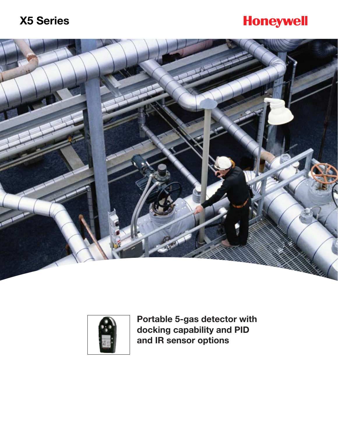# **Honeywell**





**Portable 5-gas detector with docking capability and PID and IR sensor options**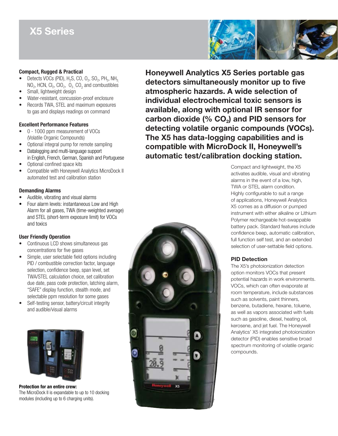# **X5 Series**

#### **Compact, Rugged & Practical**

- Detects VOCs (PID),  $H_2S$ , CO,  $O_2$ , SO<sub>2</sub>, PH<sub>3</sub>, NH<sub>3</sub>  $NO<sub>2</sub>$ , HCN, Cl<sub>2</sub>, ClO<sub>2</sub>, O<sub>3</sub>, CO<sub>2</sub> and combustibles
- Small, lightweight design
- Water-resistant, concussion-proof enclosure
- Records TWA, STEL and maximum exposures to gas and displays readings on command

#### **Excellent Performance Features**

- 0 1000 ppm measurement of VOCs (Volatile Organic Compounds)
- Optional integral pump for remote sampling
- Datalogging and multi-language support in English, French, German, Spanish and Portuguese
- Optional confined space kits
- • Compatible with Honeywell Analytics MicroDock II automated test and calibration station

#### **Demanding Alarms**

- Audible, vibrating and visual alarms
- Four alarm levels: instantaneous Low and High Alarm for all gases, TWA (time-weighted average) and STEL (short-term exposure limit) for VOCs and toxics

#### **User Friendly Operation**

- Continuous LCD shows simultaneous gas concentrations for five gases
- Simple, user selectable field options including PID / combustible correction factor, language selection, confidence beep, span level, set TWA/STEL calculation choice, set calibration due date, pass code protection, latching alarm, "SAFE" display function, stealth mode, and selectable ppm resolution for some gases
- Self-testing sensor, battery/circuit integrity and audible/visual alarms



**Protection for an entire crew:**  The MicroDock II is expandable to up to 10 docking modules (including up to 6 charging units).





**Honeywell Analytics X5 Series portable gas detectors simultaneously monitor up to five atmospheric hazards. A wide selection of individual electrochemical toxic sensors is available, along with optional IR sensor for**  carbon dioxide (% CO<sub>2</sub>) and PID sensors for **detecting volatile organic compounds (VOCs). The X5 has data-logging capabilities and is compatible with MicroDock II, Honeywell's automatic test/calibration docking station.**

> Compact and lightweight, the X5 activates audible, visual and vibrating alarms in the event of a low, high, TWA or STEL alarm condition. Highly configurable to suit a range of applications, Honeywell Analytics X5 comes as a diffusion or pumped instrument with either alkaline or Lithium Polymer rechargeable hot-swappable battery pack. Standard features include confidence beep, automatic calibration, full function self test, and an extended selection of user-settable field options.

### **PID Detection**

The X5's photoionization detection option monitors VOCs that present potential hazards in work environments. VOCs, which can often evaporate at room temperature, include substances such as solvents, paint thinners, benzene, butadiene, hexane, toluene, as well as vapors associated with fuels such as gasoline, diesel, heating oil, kerosene, and jet fuel. The Honeywell Analytics' X5 integrated photoionization detector (PID) enables sensitive broad spectrum monitoring of volatile organic compounds.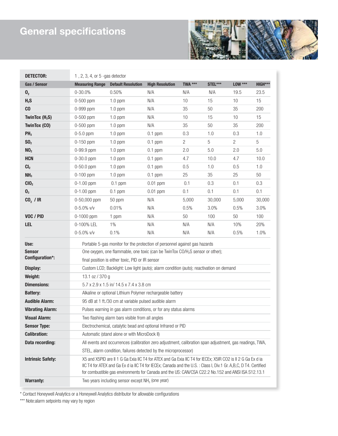# **General specifications**

ı



| <b>DETECTOR:</b>         | $1, 2, 3, 4$ , or $5$ -gas detector                                                                                                                                                                                                                                                                                                  |                           |                        |                |         |                |            |
|--------------------------|--------------------------------------------------------------------------------------------------------------------------------------------------------------------------------------------------------------------------------------------------------------------------------------------------------------------------------------|---------------------------|------------------------|----------------|---------|----------------|------------|
| Gas / Sensor             | <b>Measuring Range</b>                                                                                                                                                                                                                                                                                                               | <b>Default Resolution</b> | <b>High Resolution</b> | TWA ***        | STEL*** | <b>LOW ***</b> | HIGH***    |
| $\mathbf{0}_2$           | $0 - 30.0%$                                                                                                                                                                                                                                                                                                                          | 0.50%                     | N/A                    | N/A            | N/A     | 19.5           | 23.5       |
| $H_2S$                   | 0-500 ppm                                                                                                                                                                                                                                                                                                                            | $1.0$ ppm                 | N/A                    | 10             | 15      | 10             | 15         |
| C <sub>0</sub>           | 0-999 ppm                                                                                                                                                                                                                                                                                                                            | $1.0$ ppm                 | N/A                    | 35             | 50      | 35             | 200        |
| TwinTox $(H_2S)$         | 0-500 ppm                                                                                                                                                                                                                                                                                                                            | $1.0$ ppm                 | N/A                    | 10             | 15      | 10             | 15         |
| <b>TwinTox (CO)</b>      | $0-500$ ppm                                                                                                                                                                                                                                                                                                                          | $1.0$ ppm                 | N/A                    | 35             | 50      | 35             | 200        |
| PH <sub>3</sub>          | $0-5.0$ ppm                                                                                                                                                                                                                                                                                                                          | $1.0$ ppm                 | $0.1$ ppm              | 0.3            | 1.0     | 0.3            | 1.0        |
| SO <sub>2</sub>          | $0-150$ ppm                                                                                                                                                                                                                                                                                                                          | $1.0$ ppm                 | $0.1$ ppm              | $\overline{c}$ | 5       | $\overline{2}$ | $\sqrt{5}$ |
| NO <sub>2</sub>          | 0-99.9 ppm                                                                                                                                                                                                                                                                                                                           | $1.0$ ppm                 | $0.1$ ppm              | 2.0            | 5.0     | 2.0            | 5.0        |
| <b>HCN</b>               | $0 - 30.0$ ppm                                                                                                                                                                                                                                                                                                                       | $1.0$ ppm                 | $0.1$ ppm              | 4.7            | 10.0    | 4.7            | 10.0       |
| CI <sub>2</sub>          | $0 - 50.0$ ppm                                                                                                                                                                                                                                                                                                                       | $1.0$ ppm                 | $0.1$ ppm              | 0.5            | 1.0     | 0.5            | 1.0        |
| NH <sub>3</sub>          | $0-100$ ppm                                                                                                                                                                                                                                                                                                                          | $1.0$ ppm                 | $0.1$ ppm              | 25             | 35      | 25             | 50         |
| CIO <sub>2</sub>         | $0-1.00$ ppm                                                                                                                                                                                                                                                                                                                         | $0.1$ ppm                 | $0.01$ ppm             | 0.1            | 0.3     | 0.1            | 0.3        |
| $\mathbf{0}_3$           | $0-1.00$ ppm                                                                                                                                                                                                                                                                                                                         | $0.1$ ppm                 | $0.01$ ppm             | 0.1            | 0.1     | 0.1            | 0.1        |
| $CO2$ / IR               | 0-50,000 ppm                                                                                                                                                                                                                                                                                                                         | 50 ppm                    | N/A                    | 5,000          | 30,000  | 5,000          | 30,000     |
|                          | $0 - 5.0\%$ v/v                                                                                                                                                                                                                                                                                                                      | 0.01%                     | N/A                    | 0.5%           | 3.0%    | 0.5%           | 3.0%       |
| VOC / PID                | $0-1000$ ppm                                                                                                                                                                                                                                                                                                                         | 1 ppm                     | N/A                    | 50             | 100     | 50             | 100        |
| LEL                      | 0-100% LEL                                                                                                                                                                                                                                                                                                                           | $1\%$                     | N/A                    | N/A            | N/A     | 10%            | 20%        |
|                          | $0 - 5.0\%$ v/v                                                                                                                                                                                                                                                                                                                      | 0.1%                      | N/A                    | N/A            | N/A     | 0.5%           | 1.0%       |
| Use:                     | Portable 5-gas monitor for the protection of personnel against gas hazards                                                                                                                                                                                                                                                           |                           |                        |                |         |                |            |
| <b>Sensor</b>            | One oxygen, one flammable, one toxic (can be TwinTox CO/H <sub>2</sub> S sensor or other);<br>final position is either toxic, PID or IR sensor                                                                                                                                                                                       |                           |                        |                |         |                |            |
| Configuration*:          |                                                                                                                                                                                                                                                                                                                                      |                           |                        |                |         |                |            |
| Display:                 | Custom LCD; Backlight: Low light (auto); alarm condition (auto); reactivation on demand                                                                                                                                                                                                                                              |                           |                        |                |         |                |            |
| Weight:                  | 13.1 oz / 370 g                                                                                                                                                                                                                                                                                                                      |                           |                        |                |         |                |            |
| <b>Dimensions:</b>       | 5.7 x 2.9 x 1.5 in/ 14.5 x 7.4 x 3.8 cm                                                                                                                                                                                                                                                                                              |                           |                        |                |         |                |            |
| <b>Battery:</b>          | Alkaline or optional Lithium Polymer rechargeable battery                                                                                                                                                                                                                                                                            |                           |                        |                |         |                |            |
| <b>Audible Alarm:</b>    | 95 dB at 1 ft./30 cm at variable pulsed audible alarm                                                                                                                                                                                                                                                                                |                           |                        |                |         |                |            |
| <b>Vibrating Alarm:</b>  | Pulses warning in gas alarm conditions, or for any status alarms                                                                                                                                                                                                                                                                     |                           |                        |                |         |                |            |
| <b>Visual Alarm:</b>     | Two flashing alarm bars visible from all angles                                                                                                                                                                                                                                                                                      |                           |                        |                |         |                |            |
| <b>Sensor Type:</b>      | Electrochemical, catalytic bead and optional Infrared or PID                                                                                                                                                                                                                                                                         |                           |                        |                |         |                |            |
| <b>Calibration:</b>      | Automatic (stand alone or with MicroDock II)                                                                                                                                                                                                                                                                                         |                           |                        |                |         |                |            |
| Data recording:          | All events and occurrences (calibration zero adjustment, calibration span adjustment, gas readings, TWA,                                                                                                                                                                                                                             |                           |                        |                |         |                |            |
|                          | STEL, alarm condition, failures detected by the microprocessor)                                                                                                                                                                                                                                                                      |                           |                        |                |         |                |            |
| <b>Intrinsic Safety:</b> | X5 and X5PID are II 1 G Ga Exia IIC T4 for ATEX and Ga Exia IIC T4 for IECEx; X5IR CO2 is II 2 G Ga Ex d ia<br>IIC T4 for ATEX and Ga Ex d ia IIC T4 for IECEx; Canada and the U.S.: Class I, Div.1 Gr. A,B,C, D T4. Certified<br>for combustible gas environments for Canada and the US: CAN/CSA C22.2 No.152 and ANSI ISA S12.13.1 |                           |                        |                |         |                |            |
| <b>Warranty:</b>         | Two years including sensor except NH <sub>3</sub> (one year)                                                                                                                                                                                                                                                                         |                           |                        |                |         |                |            |

\* Contact Honeywell Analytics or a Honeywell Analytics distributor for allowable configurations

\*\*\* Note:alarm setpoints may vary by region